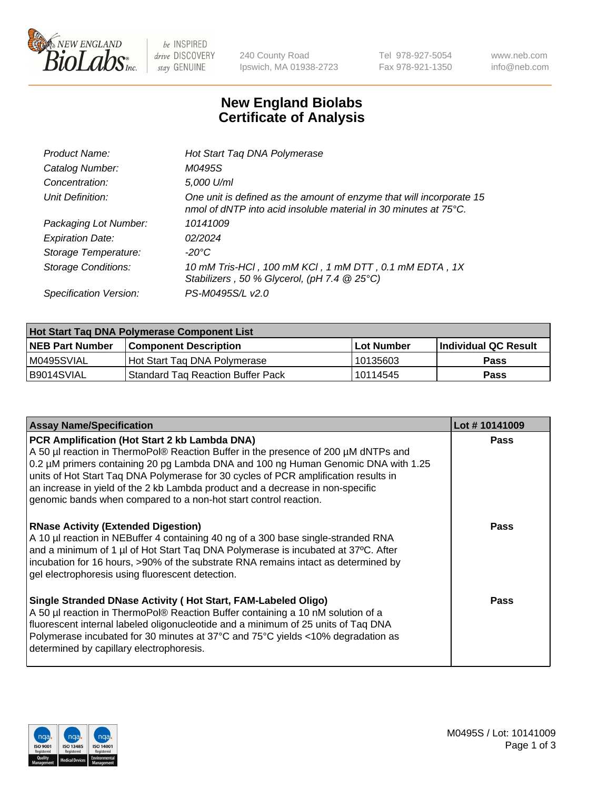

 $be$  INSPIRED drive DISCOVERY stay GENUINE

240 County Road Ipswich, MA 01938-2723 Tel 978-927-5054 Fax 978-921-1350 www.neb.com info@neb.com

## **New England Biolabs Certificate of Analysis**

| Product Name:           | Hot Start Taq DNA Polymerase                                                                                                                       |
|-------------------------|----------------------------------------------------------------------------------------------------------------------------------------------------|
| Catalog Number:         | M0495S                                                                                                                                             |
| Concentration:          | 5,000 U/ml                                                                                                                                         |
| Unit Definition:        | One unit is defined as the amount of enzyme that will incorporate 15<br>nmol of dNTP into acid insoluble material in 30 minutes at $75^{\circ}$ C. |
| Packaging Lot Number:   | 10141009                                                                                                                                           |
| <b>Expiration Date:</b> | 02/2024                                                                                                                                            |
| Storage Temperature:    | $-20^{\circ}$ C                                                                                                                                    |
| Storage Conditions:     | 10 mM Tris-HCl, 100 mM KCl, 1 mM DTT, 0.1 mM EDTA, 1X<br>Stabilizers, 50 % Glycerol, (pH 7.4 @ 25°C)                                               |
| Specification Version:  | PS-M0495S/L v2.0                                                                                                                                   |

| Hot Start Taq DNA Polymerase Component List |                                   |              |                      |  |  |
|---------------------------------------------|-----------------------------------|--------------|----------------------|--|--|
| <b>NEB Part Number</b>                      | Component Description_            | l Lot Number | Individual QC Result |  |  |
| M0495SVIAL                                  | Hot Start Tag DNA Polymerase      | 10135603     | <b>Pass</b>          |  |  |
| B9014SVIAL                                  | Standard Tag Reaction Buffer Pack | 10114545     | Pass                 |  |  |

| <b>Assay Name/Specification</b>                                                                                                                                                                                                                                                                                                                                                                                                                                       | Lot #10141009 |
|-----------------------------------------------------------------------------------------------------------------------------------------------------------------------------------------------------------------------------------------------------------------------------------------------------------------------------------------------------------------------------------------------------------------------------------------------------------------------|---------------|
| PCR Amplification (Hot Start 2 kb Lambda DNA)<br>A 50 µl reaction in ThermoPol® Reaction Buffer in the presence of 200 µM dNTPs and<br>0.2 µM primers containing 20 pg Lambda DNA and 100 ng Human Genomic DNA with 1.25<br>units of Hot Start Taq DNA Polymerase for 30 cycles of PCR amplification results in<br>an increase in yield of the 2 kb Lambda product and a decrease in non-specific<br>genomic bands when compared to a non-hot start control reaction. | Pass          |
| <b>RNase Activity (Extended Digestion)</b><br>A 10 µl reaction in NEBuffer 4 containing 40 ng of a 300 base single-stranded RNA<br>and a minimum of 1 µl of Hot Start Taq DNA Polymerase is incubated at 37°C. After<br>incubation for 16 hours, >90% of the substrate RNA remains intact as determined by<br>gel electrophoresis using fluorescent detection.                                                                                                        | Pass          |
| Single Stranded DNase Activity (Hot Start, FAM-Labeled Oligo)<br>A 50 µl reaction in ThermoPol® Reaction Buffer containing a 10 nM solution of a<br>fluorescent internal labeled oligonucleotide and a minimum of 25 units of Taq DNA<br>Polymerase incubated for 30 minutes at 37°C and 75°C yields <10% degradation as<br>determined by capillary electrophoresis.                                                                                                  | Pass          |

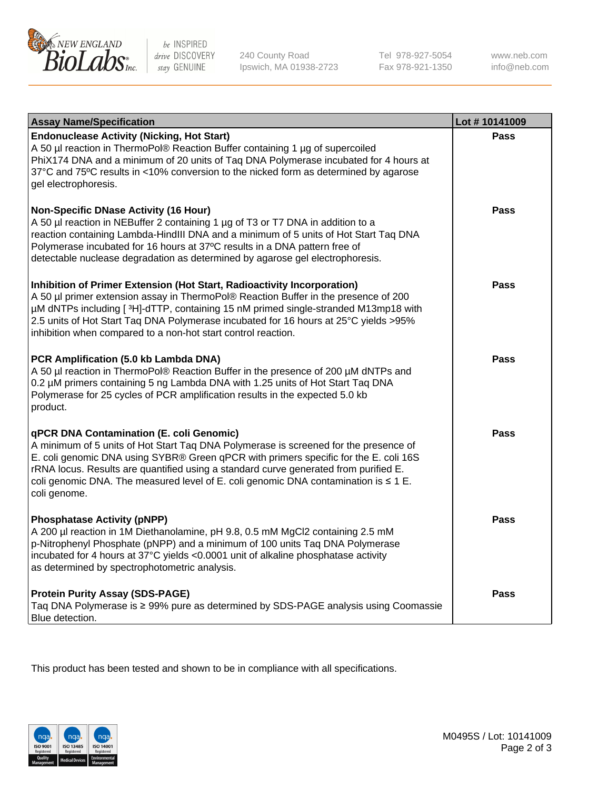

be INSPIRED drive DISCOVERY stay GENUINE

240 County Road Ipswich, MA 01938-2723 Tel 978-927-5054 Fax 978-921-1350 www.neb.com info@neb.com

| <b>Assay Name/Specification</b>                                                                                                                                                                                                                                                                                                                                                                                              | Lot #10141009 |
|------------------------------------------------------------------------------------------------------------------------------------------------------------------------------------------------------------------------------------------------------------------------------------------------------------------------------------------------------------------------------------------------------------------------------|---------------|
| <b>Endonuclease Activity (Nicking, Hot Start)</b><br>A 50 µl reaction in ThermoPol® Reaction Buffer containing 1 µg of supercoiled<br>PhiX174 DNA and a minimum of 20 units of Taq DNA Polymerase incubated for 4 hours at<br>37°C and 75°C results in <10% conversion to the nicked form as determined by agarose<br>gel electrophoresis.                                                                                   | <b>Pass</b>   |
| <b>Non-Specific DNase Activity (16 Hour)</b><br>A 50 µl reaction in NEBuffer 2 containing 1 µg of T3 or T7 DNA in addition to a<br>reaction containing Lambda-HindIII DNA and a minimum of 5 units of Hot Start Taq DNA<br>Polymerase incubated for 16 hours at 37°C results in a DNA pattern free of<br>detectable nuclease degradation as determined by agarose gel electrophoresis.                                       | <b>Pass</b>   |
| Inhibition of Primer Extension (Hot Start, Radioactivity Incorporation)<br>A 50 µl primer extension assay in ThermoPol® Reaction Buffer in the presence of 200<br>µM dNTPs including [3H]-dTTP, containing 15 nM primed single-stranded M13mp18 with<br>2.5 units of Hot Start Taq DNA Polymerase incubated for 16 hours at 25°C yields > 95%<br>inhibition when compared to a non-hot start control reaction.               | Pass          |
| PCR Amplification (5.0 kb Lambda DNA)<br>A 50 µl reaction in ThermoPol® Reaction Buffer in the presence of 200 µM dNTPs and<br>0.2 µM primers containing 5 ng Lambda DNA with 1.25 units of Hot Start Taq DNA<br>Polymerase for 25 cycles of PCR amplification results in the expected 5.0 kb<br>product.                                                                                                                    | <b>Pass</b>   |
| qPCR DNA Contamination (E. coli Genomic)<br>A minimum of 5 units of Hot Start Taq DNA Polymerase is screened for the presence of<br>E. coli genomic DNA using SYBR® Green qPCR with primers specific for the E. coli 16S<br>rRNA locus. Results are quantified using a standard curve generated from purified E.<br>coli genomic DNA. The measured level of E. coli genomic DNA contamination is $\leq 1$ E.<br>coli genome. | Pass          |
| <b>Phosphatase Activity (pNPP)</b><br>A 200 µl reaction in 1M Diethanolamine, pH 9.8, 0.5 mM MgCl2 containing 2.5 mM<br>p-Nitrophenyl Phosphate (pNPP) and a minimum of 100 units Taq DNA Polymerase<br>incubated for 4 hours at 37°C yields <0.0001 unit of alkaline phosphatase activity<br>as determined by spectrophotometric analysis.                                                                                  | Pass          |
| <b>Protein Purity Assay (SDS-PAGE)</b><br>Taq DNA Polymerase is ≥ 99% pure as determined by SDS-PAGE analysis using Coomassie<br>Blue detection.                                                                                                                                                                                                                                                                             | Pass          |

This product has been tested and shown to be in compliance with all specifications.